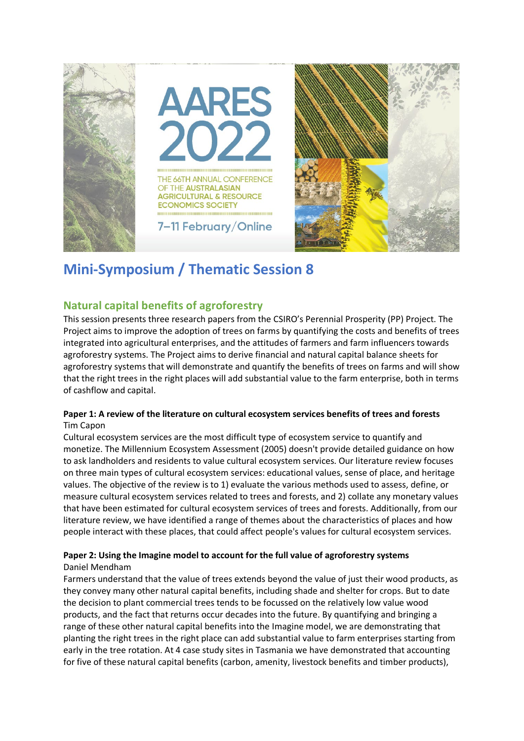

# **Mini-Symposium / Thematic Session 8**

# **Natural capital benefits of agroforestry**

This session presents three research papers from the CSIRO's Perennial Prosperity (PP) Project. The Project aims to improve the adoption of trees on farms by quantifying the costs and benefits of trees integrated into agricultural enterprises, and the attitudes of farmers and farm influencers towards agroforestry systems. The Project aims to derive financial and natural capital balance sheets for agroforestry systems that will demonstrate and quantify the benefits of trees on farms and will show that the right trees in the right places will add substantial value to the farm enterprise, both in terms of cashflow and capital.

## **Paper 1: A review of the literature on cultural ecosystem services benefits of trees and forests** Tim Capon

Cultural ecosystem services are the most difficult type of ecosystem service to quantify and monetize. The Millennium Ecosystem Assessment (2005) doesn't provide detailed guidance on how to ask landholders and residents to value cultural ecosystem services. Our literature review focuses on three main types of cultural ecosystem services: educational values, sense of place, and heritage values. The objective of the review is to 1) evaluate the various methods used to assess, define, or measure cultural ecosystem services related to trees and forests, and 2) collate any monetary values that have been estimated for cultural ecosystem services of trees and forests. Additionally, from our literature review, we have identified a range of themes about the characteristics of places and how people interact with these places, that could affect people's values for cultural ecosystem services.

# **Paper 2: Using the Imagine model to account for the full value of agroforestry systems** Daniel Mendham

Farmers understand that the value of trees extends beyond the value of just their wood products, as they convey many other natural capital benefits, including shade and shelter for crops. But to date the decision to plant commercial trees tends to be focussed on the relatively low value wood products, and the fact that returns occur decades into the future. By quantifying and bringing a range of these other natural capital benefits into the Imagine model, we are demonstrating that planting the right trees in the right place can add substantial value to farm enterprises starting from early in the tree rotation. At 4 case study sites in Tasmania we have demonstrated that accounting for five of these natural capital benefits (carbon, amenity, livestock benefits and timber products),